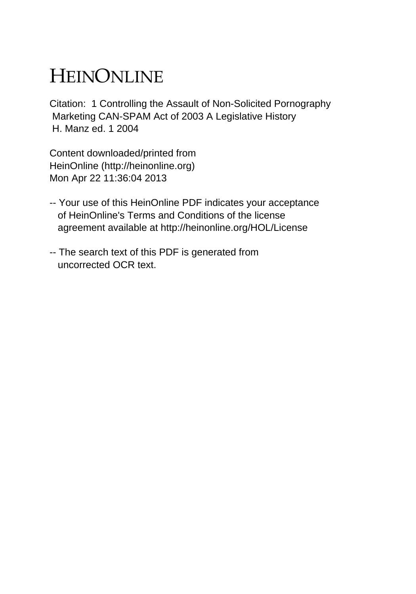# HEINONLINE

Citation: 1 Controlling the Assault of Non-Solicited Pornography Marketing CAN-SPAM Act of 2003 A Legislative History H. Manz ed. 1 2004

Content downloaded/printed from HeinOnline (http://heinonline.org) Mon Apr 22 11:36:04 2013

- -- Your use of this HeinOnline PDF indicates your acceptance of HeinOnline's Terms and Conditions of the license agreement available at http://heinonline.org/HOL/License
- -- The search text of this PDF is generated from uncorrected OCR text.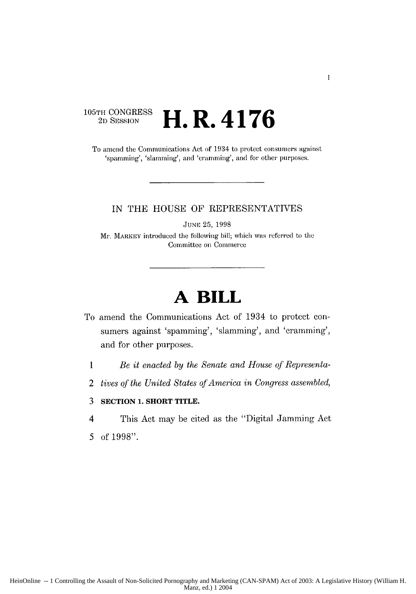### **105TH CONGRESS**<br>2D SESSION **H.R.** 4176

To amend the Communications Act of 1934 to protect consumers against 'spamming', 'slamming', and 'eramming', and for other purposes.

### IN THE HOUSE OF REPRESENTATIVES

JUNE 25, 1998 Mr. MARKEY introduced the following bill; which was referred to the Committee on Commerce

## **A BILL**

- To amend the Communications Act of 1934 to protect consumers against 'spamming', 'slamming', and 'cramming', and for other purposes.
	- *1 Be it enacted by the Senate and House of Representa-*
	- 2 *tives qf the United States of America in Congress assembled,*

#### 3 **SECTION 1. SHORT TITLE.**

4 This Act may be cited as the "Digital Jamming Act

*5* of 1998".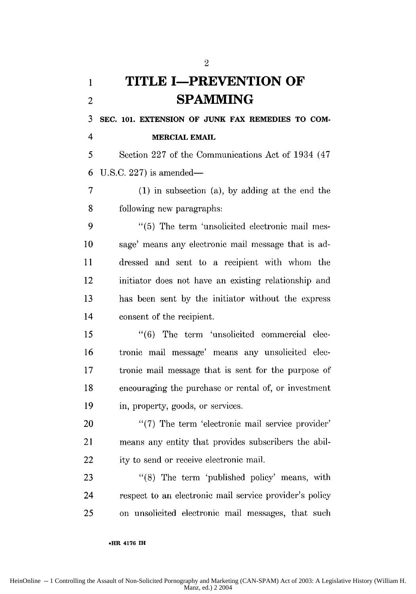## **1** TITLE **I**-PREVENTION OF 2 **SPAMMING**

2

**3 SEC. 101. EXTENSION OF JUNK FAX REMEDIES TO COM-**4 **MERCIAL EMAIL**

5 Section 227 of the Communications Act of 1934 (47 6 U.S.C. 227) is amended—

7 (1) in subsection (a), by adding at the end the 8 following new paragraphs:

9 "(5) The term 'unsolicited electronic mail mes-**10** sage' means any electronic mail message that is ad-**11** dressed and sent to a recipient with whom the 12 initiator does not have an existing relationship and 13 has been sent by the initiator without the express 14 consent of the recipient.

15 "(6) The term 'unsolicited commercial elec-16 tronic mail message' means any unsolicited elec-17 tronic mail message that is sent for the purpose of 18 encouraging the purchase or rental of, or investment 19 in, property, goods, or services.

20 "(7) The term 'electronic mail service provider' 21 means any entity that provides subscribers the abil-22 ity to send or receive electronic mail.

23 "(8) The term 'published policy' means, with 24 respect to an electronic mail service provider's policy 25 on unsolicited electronic mail messages, that such

**\*HR 4176 IH**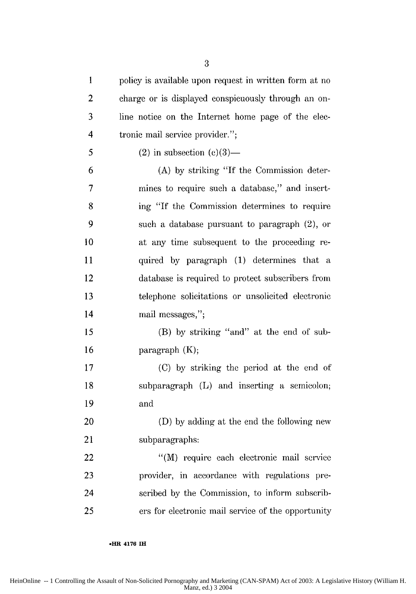1 policy is available upon request in written form at no 2 charge or is displayed conspicuously through an on-3 line notice on the Internet home page of the elec-4 tronic mail service provider."; 5 (2) in subsection  $(c)(3)$ — 6 (A) by striking "If the Commission deter-7 mines to require such a database," and insert-8 ing "If the Commission determines to require 9 such a database pursuant to paragraph (2), or 10 at any time subsequent to the proceeding re-11 quired by paragraph (1) determines that a 12 database is required to protect subscribers from 13 telephone solicitations or unsolicited electronic 14 mail messages,"; 15 (B) by striking "and" at the end of sub-16 paragraph (K); 17 (C) by striking the period at the end of 18 subparagraph (L) and inserting a semicolon; 19 and 20 (D) by adding at the end the following new 21 subparagraphs: 22 "(M) require each electronic mail service 23 provider, in accordance with regulations pre-24 scribed by the Commission, to inform subserib-25 ers for electronic mail service of the opportunity

**-.HR 4176 IH**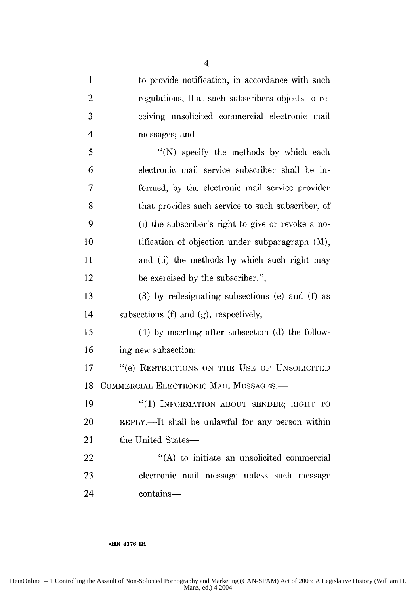| $\mathbf{1}$   | to provide notification, in accordance with such   |
|----------------|----------------------------------------------------|
| $\overline{2}$ | regulations, that such subscribers objects to re-  |
| 3              | ceiving unsolicited commercial electronic mail     |
| $\overline{4}$ | messages; and                                      |
| 5              | "(N) specify the methods by which each             |
| 6              | electronic mail service subscriber shall be in-    |
| $\overline{7}$ | formed, by the electronic mail service provider    |
| 8              | that provides such service to such subscriber, of  |
| 9              | (i) the subscriber's right to give or revoke a no- |
| 10             | tification of objection under subparagraph (M),    |
| 11             | and (ii) the methods by which such right may       |
| 12             | be exercised by the subscriber.";                  |
| 13             | (3) by redesignating subsections (e) and (f) as    |
| 14             | subsections (f) and (g), respectively;             |
| 15             | (4) by inserting after subsection (d) the follow-  |
| 16             | ing new subsection:                                |
| 17             | "(e) RESTRICTIONS ON THE USE OF UNSOLICITED        |
| 18             | COMMERCIAL ELECTRONIC MAIL MESSAGES.-              |
| 19             | "(1) INFORMATION ABOUT SENDER; RIGHT TO            |
| 20             | REPLY.—It shall be unlawful for any person within  |
| 21             | the United States-                                 |
| 22             | "(A) to initiate an unsolicited commercial         |
| 23             | electronic mail message unless such message        |
| 24             | contains-                                          |

#### **.HR 4176 IH**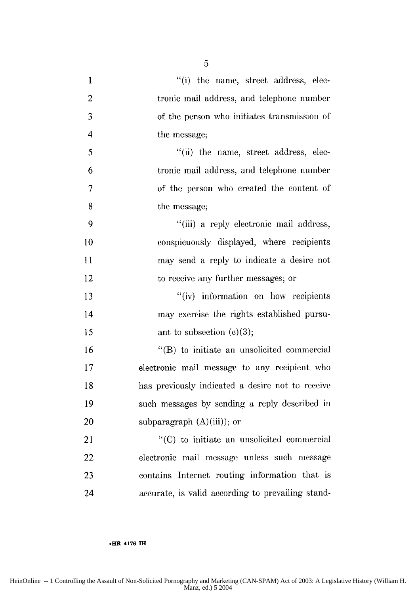| $\mathbf{1}$   | "(i) the name, street address, elec-              |
|----------------|---------------------------------------------------|
| $\overline{2}$ | tronic mail address, and telephone number         |
| 3              | of the person who initiates transmission of       |
| 4              | the message;                                      |
| 5              | "(ii) the name, street address, elec-             |
| 6              | tronic mail address, and telephone number         |
| 7              | of the person who created the content of          |
| 8              | the message;                                      |
| 9              | "(iii) a reply electronic mail address,           |
| 10             | conspicuously displayed, where recipients         |
| 11             | may send a reply to indicate a desire not         |
| 12             | to receive any further messages; or               |
| 13             | "(iv) information on how recipients               |
| 14             | may exercise the rights established pursu-        |
| 15             | ant to subsection $(c)(3)$ ;                      |
| 16             | "(B) to initiate an unsolicited commercial        |
| 17             | electronic mail message to any recipient who      |
| 18             | has previously indicated a desire not to receive  |
| 19             | such messages by sending a reply described in     |
| 20             | subparagraph $(A)(iii)$ ; or                      |
| 21             | "(C) to initiate an unsolicited commercial        |
| 22             | electronic mail message unless such message       |
| 23             | contains Internet routing information that is     |
| 24             | accurate, is valid according to prevailing stand- |

**.HR 4176 IH**

HeinOnline -- 1 Controlling the Assault of Non-Solicited Pornography and Marketing (CAN-SPAM) Act of 2003: A Legislative History (William H. Manz, ed.) 5 2004

5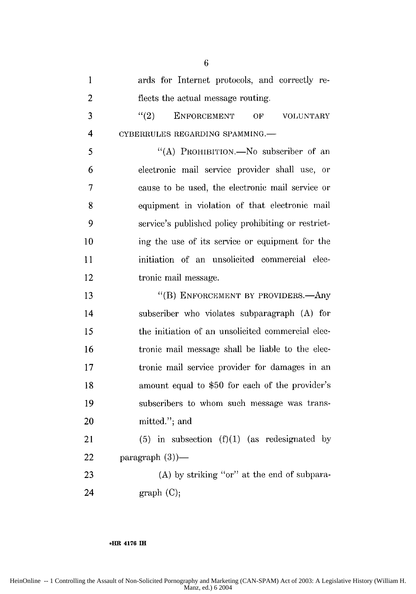| 1  | ards for Internet protocols, and correctly re-      |
|----|-----------------------------------------------------|
| 2  | flects the actual message routing.                  |
| 3  | (2)<br><b>ENFORCEMENT</b><br>OF<br><b>VOLUNTARY</b> |
| 4  | CYBERRULES REGARDING SPAMMING.-                     |
| 5  | "(A) PROHIBITION.—No subscriber of an               |
| 6  | electronic mail service provider shall use, or      |
| 7  | cause to be used, the electronic mail service or    |
| 8  | equipment in violation of that electronic mail      |
| 9  | service's published policy prohibiting or restrict- |
| 10 | ing the use of its service or equipment for the     |
| 11 | initiation of an unsolicited commercial elec-       |
| 12 | tronic mail message.                                |
| 13 | "(B) ENFORCEMENT BY PROVIDERS.-Any                  |
| 14 | subscriber who violates subparagraph (A) for        |
| 15 | the initiation of an unsolicited commercial elec-   |
| 16 | tronic mail message shall be liable to the elec-    |
| 17 | tronic mail service provider for damages in an      |
| 18 | amount equal to \$50 for each of the provider's     |
| 19 | subscribers to whom such message was trans-         |
| 20 | mitted."; and                                       |
| 21 | $(5)$ in subsection $(f)(1)$ (as redesignated by    |
| 22 | $\text{paragnch}(3)$ —                              |
| 23 | (A) by striking "or" at the end of subpara-         |
| 24 | graph(C);                                           |
|    |                                                     |

#### **HR 4176 IH**

 $\overline{6}$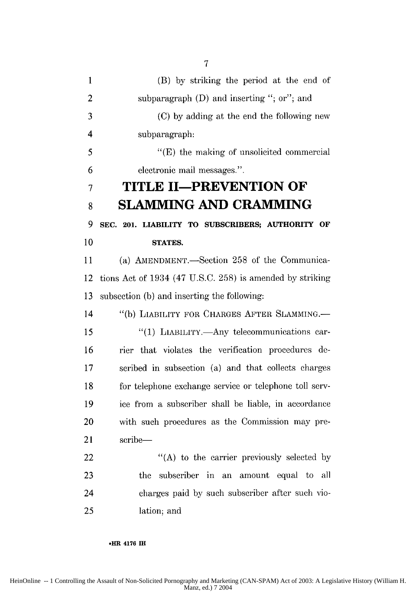| $\mathbf{1}$            | (B) by striking the period at the end of                 |
|-------------------------|----------------------------------------------------------|
| $\overline{2}$          | subparagraph $(D)$ and inserting "; or"; and             |
| 3                       | (C) by adding at the end the following new               |
| $\overline{\mathbf{4}}$ | subparagraph:                                            |
| 5                       | "(E) the making of unsolicited commercial                |
| 6                       | electronic mail messages.".                              |
| 7                       | <b>TITLE II-PREVENTION OF</b>                            |
| 8                       | <b>SLAMMING AND CRAMMING</b>                             |
| 9                       | SEC. 201. LIABILITY TO SUBSCRIBERS; AUTHORITY OF         |
| 10                      | STATES.                                                  |
| 11                      | (a) AMENDMENT.—Section 258 of the Communica-             |
| 12                      | tions Act of 1934 (47 U.S.C. 258) is amended by striking |
| 13                      | subsection (b) and inserting the following:              |
| 14                      | "(b) LIABILITY FOR CHARGES AFTER SLAMMING.-              |
| 15                      | "(1) LIABILITY.—Any telecommunications car-              |
| 16                      | rier that violates the verification procedures de-       |
| 17                      | scribed in subsection (a) and that collects charges      |
| 18                      | for telephone exchange service or telephone toll serv-   |
| 19                      | ice from a subscriber shall be liable, in accordance     |
| 20                      | with such procedures as the Commission may pre-          |
| 21                      | scribe—                                                  |
| 22                      | "(A) to the carrier previously selected by               |
| 23                      | subscriber in an amount equal to all<br>the              |
| 24                      | charges paid by such subscriber after such vio-          |
| 25                      | lation; and                                              |
|                         |                                                          |

**.HR 4176 Ii**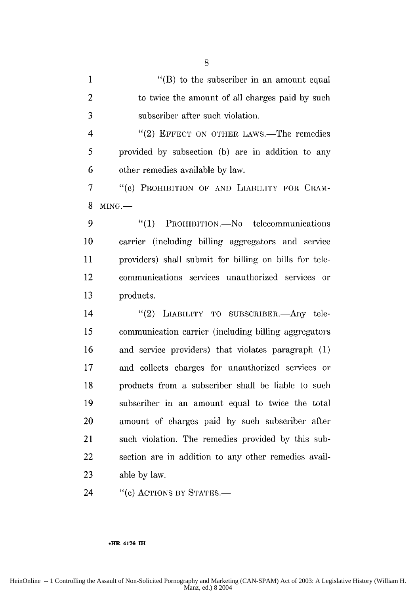1 "(B) to the subscriber in an amount equal 2 to twice the amount of **all** charges paid by such 3 subscriber after such violation. 4 "(2) EFFECT ON OTHER LAWS.—The remedies 5 provided by subsection (b) are in addition to any 6 other remedies available by law. 7 "(c) PROHIBITION OF ANI) **LIABILITY** FOR CRAM-**8** MING.- 9 "(1) PROHIBITION.—No telecommunications **10** carrier (including billing aggregators and service 11 providers) shall submit for billing on bills for tele-12 communications services unauthorized services or 13 products. 14 "(2) LIABILITY TO SUBSCRIBER.—Any tele-15 communication carrier (including billing aggregators 16 and service providers) that violates paragraph (1) 17 and collects charges for unauthorized services or 18 products from a subscriber shall be liable to such 19 subscriber in an amount equal to twice the total 20 amount of charges paid by such subscriber after 21 such violation. The remedies provided by this sub-22 section are in addition to any other remedies avail-23 able by law.

24 "(c) ACTIONS BY STATES.-

#### **.HR 4176 IH**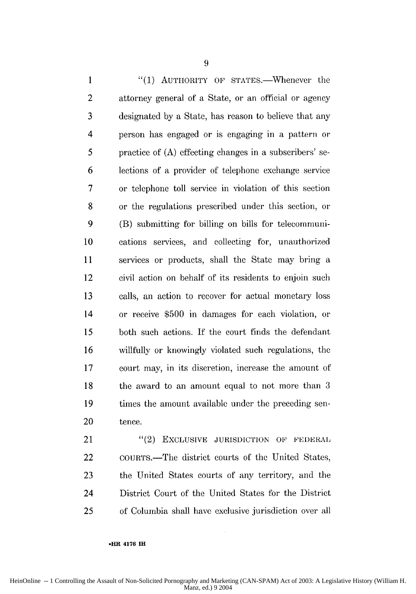1 "(1) AUTHORITY OF STATES.—Whenever the 2 attorney general of a State, or an official or agency 3 designated by a State, has reason to believe that any 4 person has engaged or is engaging in a pattern or 5 practice of (A) effecting changes in a subscribers' se-6 lections of a provider of telephone exchange service 7 or telephone toll service in violation of this section 8 or the regulations prescribed under this section, or 9 (B) submitting for billing on bills for telecommuni-10 cations services, and collecting for, unauthorized 11 services or products, shall the State may bring a 12 civil action on behalf of its residents to enjoin such 13 calls, an action to recover for actual monetary loss 14 or receive \$500 in damages for each violation, or 15 both such actions. If the court finds the defendant 16 willfully or knowingly violated such regulations, the 17 court may, in its discretion, increase the amount of 18 the award to an amount equal to not more than 3 19 times the amount available under the preceding sen-20 tence.

21 "(2) EXCLUSIVE JURISDICTION **OF FEDERAL** 22 COURTS.—The district courts of the United States, 23 the United States courts of any territory, and the 24 District Court of the United States for the District 25 of Columbia shall have exclusive jurisdiction over all

#### **.1-HR 4176 1H**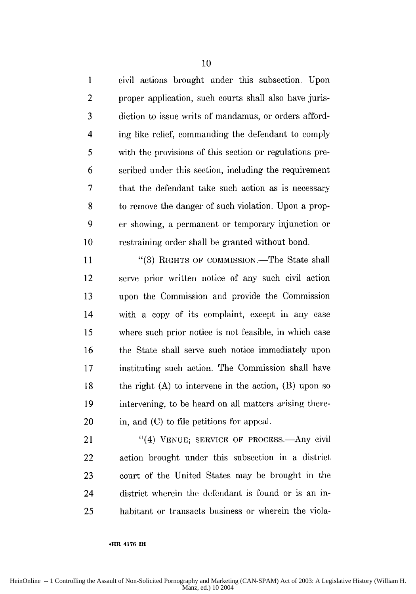1 civil actions brought under this subsection. Upon 2 proper application, such courts shall also have juris-3 diction to issue writs of mandamus, or orders afford-4 ing like relief, commanding the defendant to comply 5 with the provisions of this section or regulations pre-6 scribed under this section, including the requirement 7 that the defendant take such action as is necessary 8 to remove the danger of such violation. Upon a prop-9 er showing, a permanent or temporary injunction or 10 restraining order shall be granted without bond.

11 "(3) RIGHTS OF COMMISSION.—The State shall 12 serve prior written notice of any such civil action 13 upon the Commission and provide the Commission 14 with a copy of its complaint, except in any case 15 where such prior notice is not feasible, in which case 16 the State shall serve such notice immediately upon 17 instituting such action. The Commission shall have 18 the right  $(A)$  to intervene in the action,  $(B)$  upon so 19 intervening, to be heard on all matters arising there-20 in, and (C) to file petitions for appeal.

21 "(4) VENUE; SERVICE OF PROCESS.—Any civil 22 action brought under this subsection in a district 23 court of the United States may be brought in the 24 district wherein the defendant is found or is an in-25 habitant or transacts business or wherein the viola-

#### **\*HR 4176 IH**

10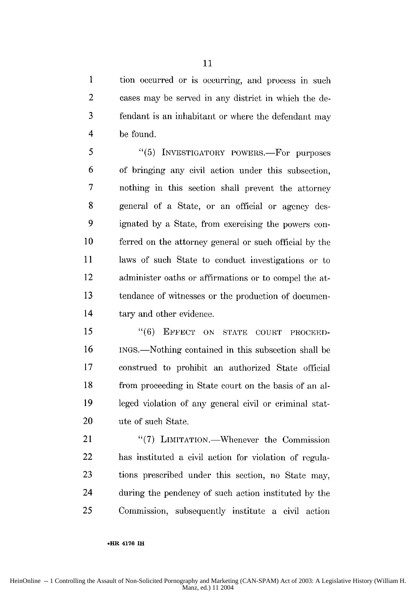1 tion occurred or is occurring, and process in such 2 cases may be served in any district in which the de-3 fendant is an inhabitant or where the defendant may 4 be found.

5 "(5) INVESTIGATORY POWERS.—For purposes 6 of bringing any civil action under this subsection, 7 nothing in this section shall prevent the attorney 8 general of a State, or an official or agency des-9 ignated by a State, from exercising the powers con-10 ferred on the attorney general or such official by the 11 laws of such State to conduct investigations or to 12 administer oaths or affirmations or to compel the at-13 tendance of witnesses or the production of documen-14 tary and other evidence.

15 "(6) EFFECT ON STATE COURT PROCEED-16 INGS.-Nothing contained in this subsection shall be 17 construed to prohibit an authorized State official 18 from proceeding in State court on the basis of an al-19 leged violation of any general civil or criminal stat-20 ute of such State.

21 "(7) LIMITATION.—Whenever the Commission 22 has instituted a civil action for violation of regula-23 tions prescribed under this section, no State may, 24 during the pendency of such action instituted by the 25 Commission, subsequently institute a civil action

#### **.HR** 4176 Hi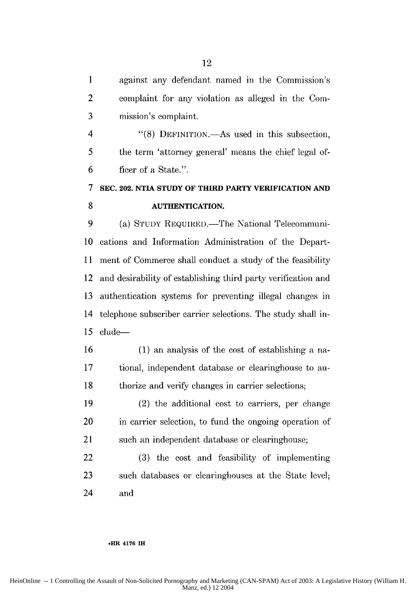1 against any defendant named in the Commission's 2 complaint for any violation as alleged in the Com-3 mission's complaint.

4 "(8) DEFINITION.—As used in this subsection, 5 the term 'attorney general' means the chief legal of-6 fleer of a State.".

### 7 **SEC.** 202. **NTIA STUDY** OF THIRD PARTY VERIFICATION **AND** 8 **AUTHENTICATION.**

9 (a) STUDY REQUIRED.—The National Telecommuni-10 cations and Information Administration of the Depart-11 ment of Commerce shall conduct a study of the feasibility 12 and desirability of establishing third party verification and 13 authentication systems for preventing illegal changes in 14 telephone subscriber carrier selections. The study shall in-*15* elude-

16 (1) an analysis of the cost of establishing a na-17 tional, independent database or clearinghouse to an-18 thorize and verify changes in carrier selections;

19 (2) the additional cost to carriers, per change 20 in carrier selection, to fund the ongoing operation of 21 such an independent database or clearinghouse;

22 (3) the cost and feasibility of implementing 23 such databases or clearinghouses at the State level; 24 and

#### **\*HR 4176 IH**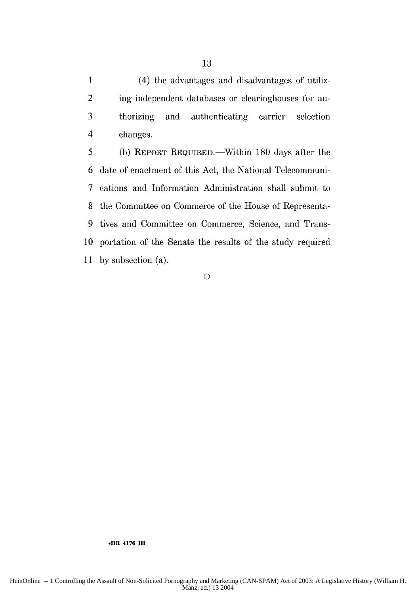(4) the advantages and disadvantages of utiliz-2 ing independent databases or clearinghouses for au-thorizing and authenticating carrier selection 4 changes.

**b**) **REPORT REQUIRED.—Within 180 days after the** date of enactment of this Act, the National Telecomnuni-cations and Information Administration shall submit to the Committee on Commerce of the House of Representa-tives and Committee on Commerce, Science, and Trans-portation of the Senate the results of the study required **11 by** subsection (a).

**.HR 4176 I1**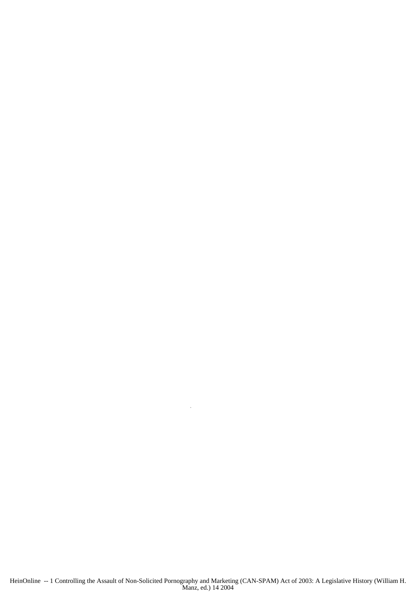$\bar{\alpha}$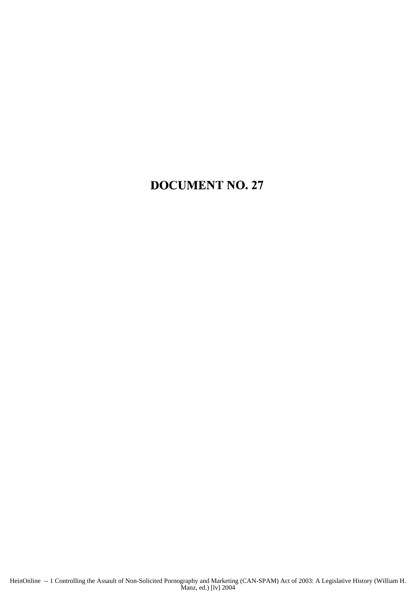## **DOCUMENT NO. 27**